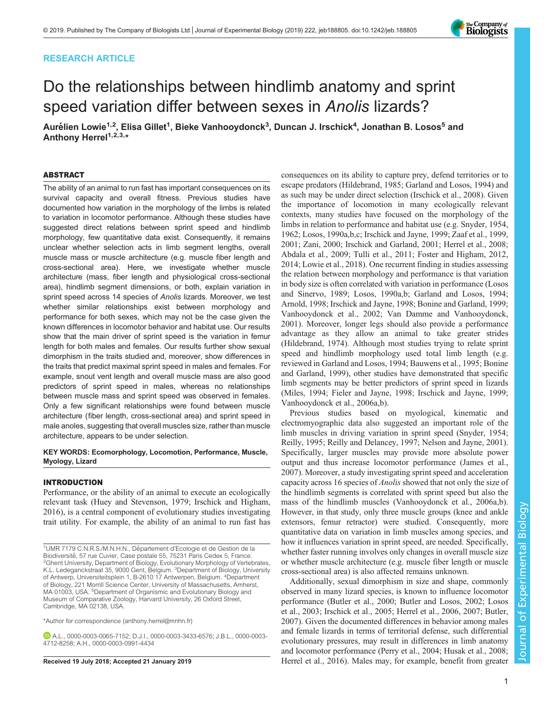# RESEARCH ARTICLE

# Do the relationships between hindlimb anatomy and sprint speed variation differ between sexes in Anolis lizards?

Aurélien Lowie<sup>1,2</sup>, Elisa Gillet<sup>1</sup>, Bieke Vanhooydonck<sup>3</sup>, Duncan J. Irschick<sup>4</sup>, Jonathan B. Losos<sup>5</sup> and Anthony Herrel<sup>1,2,3,\*</sup>

## ABSTRACT

The ability of an animal to run fast has important consequences on its survival capacity and overall fitness. Previous studies have documented how variation in the morphology of the limbs is related to variation in locomotor performance. Although these studies have suggested direct relations between sprint speed and hindlimb morphology, few quantitative data exist. Consequently, it remains unclear whether selection acts in limb segment lengths, overall muscle mass or muscle architecture (e.g. muscle fiber length and cross-sectional area). Here, we investigate whether muscle architecture (mass, fiber length and physiological cross-sectional area), hindlimb segment dimensions, or both, explain variation in sprint speed across 14 species of Anolis lizards. Moreover, we test whether similar relationships exist between morphology and performance for both sexes, which may not be the case given the known differences in locomotor behavior and habitat use. Our results show that the main driver of sprint speed is the variation in femur length for both males and females. Our results further show sexual dimorphism in the traits studied and, moreover, show differences in the traits that predict maximal sprint speed in males and females. For example, snout vent length and overall muscle mass are also good predictors of sprint speed in males, whereas no relationships between muscle mass and sprint speed was observed in females. Only a few significant relationships were found between muscle architecture (fiber length, cross-sectional area) and sprint speed in male anoles, suggesting that overall muscles size, rather than muscle architecture, appears to be under selection.

## KEY WORDS: Ecomorphology, Locomotion, Performance, Muscle, Myology, Lizard

## INTRODUCTION

Performance, or the ability of an animal to execute an ecologically relevant task ([Huey and Stevenson, 1979](#page-8-0); [Irschick and Higham,](#page-8-0) [2016](#page-8-0)), is a central component of evolutionary studies investigating trait utility. For example, the ability of an animal to run fast has

\*Author for correspondence [\(anthony.herrel@mnhn.fr](mailto:anthony.herrel@mnhn.fr))

A.L., [0000-0003-0065-7152](http://orcid.org/0000-0003-0065-7152); D.J.I., [0000-0003-3433-6576;](http://orcid.org/0000-0003-3433-6576) J.B.L., [0000-0003-](http://orcid.org/0000-0003-4712-8258) [4712-8258](http://orcid.org/0000-0003-4712-8258); A.H., [0000-0003-0991-4434](http://orcid.org/0000-0003-0991-4434)

consequences on its ability to capture prey, defend territories or to escape predators [\(Hildebrand, 1985](#page-8-0); [Garland and Losos, 1994\)](#page-8-0) and as such may be under direct selection [\(Irschick et al., 2008](#page-8-0)). Given the importance of locomotion in many ecologically relevant contexts, many studies have focused on the morphology of the limbs in relation to performance and habitat use (e.g. [Snyder, 1954,](#page-9-0) [1962; Losos, 1990a,b,c;](#page-9-0) [Irschick and Jayne, 1999;](#page-8-0) [Zaaf et al., 1999,](#page-9-0) [2001; Zani, 2000;](#page-9-0) [Irschick and Garland, 2001; Herrel et al., 2008](#page-8-0); [Abdala et al., 2009](#page-8-0); [Tulli et al., 2011](#page-9-0); [Foster and Higham, 2012,](#page-8-0) [2014;](#page-8-0) [Lowie et al., 2018](#page-9-0)). One recurrent finding in studies assessing the relation between morphology and performance is that variation in body size is often correlated with variation in performance [\(Losos](#page-9-0) [and Sinervo, 1989](#page-9-0); [Losos, 1990a](#page-9-0),[b](#page-9-0); [Garland and Losos, 1994](#page-8-0); [Arnold, 1998; Irschick and Jayne, 1998; Bonine and Garland, 1999](#page-8-0); [Vanhooydonck et al., 2002; Van Damme and Vanhooydonck,](#page-9-0) [2001\)](#page-9-0). Moreover, longer legs should also provide a performance advantage as they allow an animal to take greater strides [\(Hildebrand, 1974](#page-8-0)). Although most studies trying to relate sprint speed and hindlimb morphology used total limb length (e.g. reviewed in [Garland and Losos, 1994](#page-8-0); [Bauwens et al., 1995](#page-8-0); [Bonine](#page-8-0) [and Garland, 1999\)](#page-8-0), other studies have demonstrated that specific limb segments may be better predictors of sprint speed in lizards [\(Miles, 1994;](#page-9-0) [Fieler and Jayne, 1998](#page-8-0); [Irschick and Jayne, 1999](#page-8-0); [Vanhooydonck et al., 2006a,b](#page-9-0)).

Previous studies based on myological, kinematic and electromyographic data also suggested an important role of the limb muscles in driving variation in sprint speed ([Snyder, 1954](#page-9-0); [Reilly, 1995](#page-9-0); [Reilly and Delancey, 1997](#page-9-0); [Nelson and Jayne, 2001\)](#page-9-0). Specifically, larger muscles may provide more absolute power output and thus increase locomotor performance [\(James et al.,](#page-8-0) [2007\)](#page-8-0). Moreover, a study investigating sprint speed and acceleration capacity across 16 species of *Anolis* showed that not only the size of the hindlimb segments is correlated with sprint speed but also the mass of the hindlimb muscles [\(Vanhooydonck et al., 2006a](#page-9-0),[b\)](#page-9-0). However, in that study, only three muscle groups (knee and ankle extensors, femur retractor) were studied. Consequently, more quantitative data on variation in limb muscles among species, and how it influences variation in sprint speed, are needed. Specifically, whether faster running involves only changes in overall muscle size or whether muscle architecture (e.g. muscle fiber length or muscle cross-sectional area) is also affected remains unknown.

Additionally, sexual dimorphism in size and shape, commonly observed in many lizard species, is known to influence locomotor performance [\(Butler et al., 2000](#page-8-0); [Butler and Losos, 2002](#page-8-0); [Losos](#page-9-0) [et al., 2003;](#page-9-0) [Irschick et al., 2005; Herrel et al., 2006, 2007; Butler,](#page-8-0) [2007\)](#page-8-0). Given the documented differences in behavior among males and female lizards in terms of territorial defense, such differential evolutionary pressures, may result in differences in limb anatomy and locomotor performance ([Perry et al., 2004](#page-9-0); [Husak et al., 2008](#page-8-0); Received 19 July 2018; Accepted 21 January 2019 [Herrel et al., 2016\)](#page-8-0). Males may, for example, benefit from greater



<sup>&</sup>lt;sup>1</sup>UMR 7179 C.N.R.S./M.N.H.N., Département d'Ecologie et de Gestion de la Biodiversité, 57 rue Cuvier, Case postale 55, 75231 Paris Cedex 5, France.<br><sup>2</sup>Ghent University, Department of Biology, Evolutionary Morphology of Vertebrates, K.L. Ledeganckstraat 35, 9000 Gent, Belgium. <sup>3</sup>Department of Biology, University of Antwerp, Universiteitsplein 1, B-2610 17 Antwerpen, Belgium. <sup>4</sup>Department of Biology, 221 Morrill Science Center, University of Massachusetts, Amherst, MA 01003, USA. <sup>5</sup>Department of Organismic and Evolutionary Biology and Museum of Comparative Zoology, Harvard University, 26 Oxford Street, Cambridge, MA 02138, USA.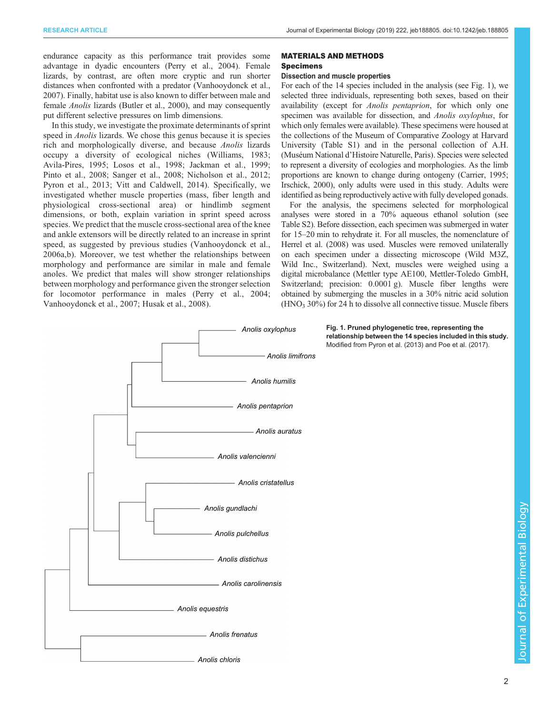<span id="page-1-0"></span>endurance capacity as this performance trait provides some advantage in dyadic encounters [\(Perry et al., 2004](#page-9-0)). Female lizards, by contrast, are often more cryptic and run shorter distances when confronted with a predator ([Vanhooydonck et al.,](#page-9-0) [2007](#page-9-0)). Finally, habitat use is also known to differ between male and female Anolis lizards [\(Butler et al., 2000](#page-8-0)), and may consequently put different selective pressures on limb dimensions.

In this study, we investigate the proximate determinants of sprint speed in Anolis lizards. We chose this genus because it is species rich and morphologically diverse, and because Anolis lizards occupy a diversity of ecological niches [\(Williams, 1983](#page-9-0); [Avila-Pires, 1995;](#page-8-0) [Losos et al., 1998](#page-9-0); [Jackman et al., 1999](#page-8-0); [Pinto et al., 2008](#page-9-0); [Sanger et al., 2008](#page-9-0); [Nicholson et al., 2012](#page-9-0); [Pyron et al., 2013; Vitt and Caldwell, 2014\)](#page-9-0). Specifically, we investigated whether muscle properties (mass, fiber length and physiological cross-sectional area) or hindlimb segment dimensions, or both, explain variation in sprint speed across species. We predict that the muscle cross-sectional area of the knee and ankle extensors will be directly related to an increase in sprint speed, as suggested by previous studies ([Vanhooydonck et al.,](#page-9-0) [2006a,b\)](#page-9-0). Moreover, we test whether the relationships between morphology and performance are similar in male and female anoles. We predict that males will show stronger relationships between morphology and performance given the stronger selection for locomotor performance in males ([Perry et al., 2004](#page-9-0); [Vanhooydonck et al., 2007;](#page-9-0) [Husak et al., 2008\)](#page-8-0).

#### MATERIALS AND METHODS

## Specimens

#### Dissection and muscle properties

For each of the 14 species included in the analysis (see Fig. 1), we selected three individuals, representing both sexes, based on their availability (except for Anolis pentaprion, for which only one specimen was available for dissection, and Anolis oxylophus, for which only females were available). These specimens were housed at the collections of the Museum of Comparative Zoology at Harvard University [\(Table S1\)](http://jeb.biologists.org/lookup/doi/10.1242/jeb.188805.supplemental) and in the personal collection of A.H. (Muséum National d'Histoire Naturelle, Paris). Species were selected to represent a diversity of ecologies and morphologies. As the limb proportions are known to change during ontogeny [\(Carrier, 1995](#page-8-0); [Irschick, 2000](#page-8-0)), only adults were used in this study. Adults were identified as being reproductively active with fully developed gonads.

For the analysis, the specimens selected for morphological analyses were stored in a 70% aqueous ethanol solution (see [Table S2\)](http://jeb.biologists.org/lookup/doi/10.1242/jeb.188805.supplemental). Before dissection, each specimen was submerged in water for 15–20 min to rehydrate it. For all muscles, the nomenclature of [Herrel et al. \(2008\)](#page-8-0) was used. Muscles were removed unilaterally on each specimen under a dissecting microscope (Wild M3Z, Wild Inc., Switzerland). Next, muscles were weighed using a digital microbalance (Mettler type AE100, Mettler-Toledo GmbH, Switzerland; precision: 0.0001 g). Muscle fiber lengths were obtained by submerging the muscles in a 30% nitric acid solution  $(HNO<sub>3</sub> 30%)$  for 24 h to dissolve all connective tissue. Muscle fibers



*Anolis chloris*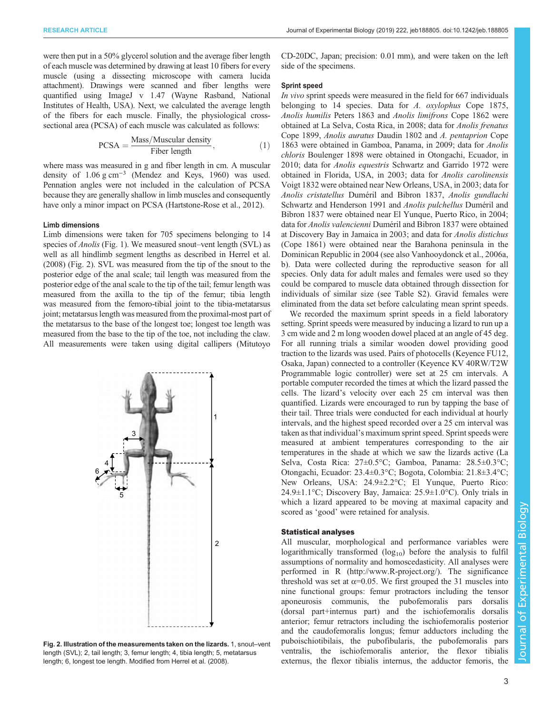were then put in a 50% glycerol solution and the average fiber length of each muscle was determined by drawing at least 10 fibers for every muscle (using a dissecting microscope with camera lucida attachment). Drawings were scanned and fiber lengths were quantified using ImageJ v 1.47 (Wayne Rasband, National Institutes of Health, USA). Next, we calculated the average length of the fibers for each muscle. Finally, the physiological crosssectional area (PCSA) of each muscle was calculated as follows:

$$
PCSA = \frac{\text{Mass/Muscular density}}{\text{Fiber length}},\tag{1}
$$

where mass was measured in g and fiber length in cm. A muscular density of 1.06 g cm−<sup>3</sup> [\(Mendez and Keys, 1960\)](#page-9-0) was used. Pennation angles were not included in the calculation of PCSA because they are generally shallow in limb muscles and consequently have only a minor impact on PCSA ([Hartstone-Rose et al., 2012](#page-8-0)).

## Limb dimensions

Limb dimensions were taken for 705 specimens belonging to 14 species of *Anolis* [\(Fig. 1\)](#page-1-0). We measured snout–vent length (SVL) as well as all hindlimb segment lengths as described in [Herrel et al.](#page-8-0) [\(2008\)](#page-8-0) (Fig. 2). SVL was measured from the tip of the snout to the posterior edge of the anal scale; tail length was measured from the posterior edge of the anal scale to the tip of the tail; femur length was measured from the axilla to the tip of the femur; tibia length was measured from the femoro-tibial joint to the tibia-metatarsus joint; metatarsus length was measured from the proximal-most part of the metatarsus to the base of the longest toe; longest toe length was measured from the base to the tip of the toe, not including the claw. All measurements were taken using digital callipers (Mitutoyo



Fig. 2. Illustration of the measurements taken on the lizards. 1, snout–vent length (SVL); 2, tail length; 3, femur length; 4, tibia length; 5, metatarsus length; 6, longest toe length. Modified from [Herrel et al. \(2008\)](#page-8-0).

CD-20DC, Japan; precision: 0.01 mm), and were taken on the left side of the specimens.

# Sprint speed

In vivo sprint speeds were measured in the field for 667 individuals belonging to 14 species. Data for A. oxylophus Cope 1875, Anolis humilis Peters 1863 and Anolis limifrons Cope 1862 were obtained at La Selva, Costa Rica, in 2008; data for Anolis frenatus Cope 1899, Anolis auratus Daudin 1802 and A. pentaprion Cope 1863 were obtained in Gamboa, Panama, in 2009; data for Anolis chloris Boulenger 1898 were obtained in Otongachi, Ecuador, in 2010; data for Anolis equestris Schwartz and Garrido 1972 were obtained in Florida, USA, in 2003; data for Anolis carolinensis Voigt 1832 were obtained near New Orleans, USA, in 2003; data for Anolis cristatellus Duméril and Bibron 1837, Anolis gundlachi Schwartz and Henderson 1991 and Anolis pulchellus Duméril and Bibron 1837 were obtained near El Yunque, Puerto Rico, in 2004; data for Anolis valencienni Duméril and Bibron 1837 were obtained at Discovery Bay in Jamaica in 2003; and data for Anolis distichus (Cope 1861) were obtained near the Barahona peninsula in the Dominican Republic in 2004 (see also [Vanhooydonck et al., 2006a,](#page-9-0) [b\)](#page-9-0). Data were collected during the reproductive season for all species. Only data for adult males and females were used so they could be compared to muscle data obtained through dissection for individuals of similar size (see [Table S2](http://jeb.biologists.org/lookup/doi/10.1242/jeb.188805.supplemental)). Gravid females were eliminated from the data set before calculating mean sprint speeds.

We recorded the maximum sprint speeds in a field laboratory setting. Sprint speeds were measured by inducing a lizard to run up a 3 cm wide and 2 m long wooden dowel placed at an angle of 45 deg. For all running trials a similar wooden dowel providing good traction to the lizards was used. Pairs of photocells (Keyence FU12, Osaka, Japan) connected to a controller (Keyence KV 40RW/T2W Programmable logic controller) were set at 25 cm intervals. A portable computer recorded the times at which the lizard passed the cells. The lizard's velocity over each 25 cm interval was then quantified. Lizards were encouraged to run by tapping the base of their tail. Three trials were conducted for each individual at hourly intervals, and the highest speed recorded over a 25 cm interval was taken as that individual's maximum sprint speed. Sprint speeds were measured at ambient temperatures corresponding to the air temperatures in the shade at which we saw the lizards active (La Selva, Costa Rica: 27±0.5°C; Gamboa, Panama: 28.5±0.3°C; Otongachi, Ecuador: 23.4±0.3°C; Bogota, Colombia: 21.8±3.4°C; New Orleans, USA: 24.9±2.2°C; El Yunque, Puerto Rico: 24.9 $\pm$ 1.1°C; Discovery Bay, Jamaica: 25.9 $\pm$ 1.0°C). Only trials in which a lizard appeared to be moving at maximal capacity and scored as 'good' were retained for analysis.

## Statistical analyses

All muscular, morphological and performance variables were logarithmically transformed  $(\log_{10})$  before the analysis to fulfil assumptions of normality and homoscedasticity. All analyses were performed in R [\(http://www.R-project.org](http://www.R-project.org)/). The significance threshold was set at  $\alpha$ =0.05. We first grouped the 31 muscles into nine functional groups: femur protractors including the tensor aponeurosis communis, the pubofemoralis pars dorsalis (dorsal part+internus part) and the ischiofemoralis dorsalis anterior; femur retractors including the ischiofemoralis posterior and the caudofemoralis longus; femur adductors including the puboischiotibilais, the pubofibularis, the pubofemoralis pars ventralis, the ischiofemoralis anterior, the flexor tibialis externus, the flexor tibialis internus, the adductor femoris, the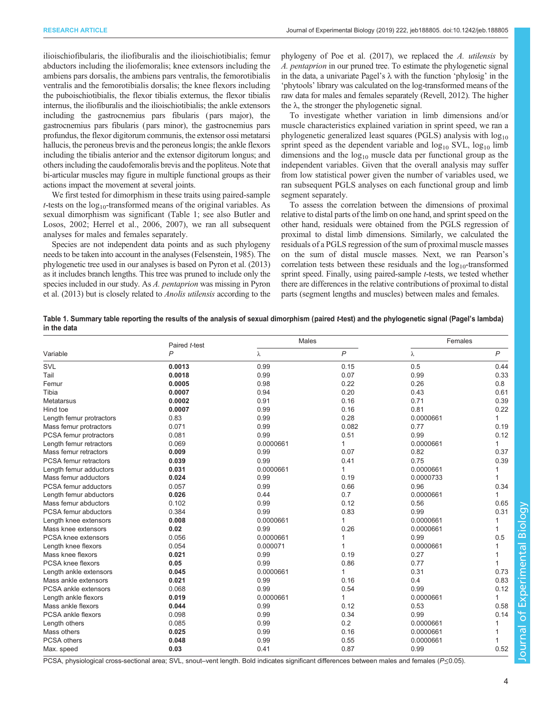<span id="page-3-0"></span>ilioischiofibularis, the iliofiburalis and the ilioischiotibialis; femur abductors including the iliofemoralis; knee extensors including the ambiens pars dorsalis, the ambiens pars ventralis, the femorotibialis ventralis and the femorotibialis dorsalis; the knee flexors including the puboischiotibialis, the flexor tibialis externus, the flexor tibialis internus, the iliofiburalis and the ilioischiotibialis; the ankle extensors including the gastrocnemius pars fibularis (pars major), the gastrocnemius pars fibularis (pars minor), the gastrocnemius pars profundus, the flexor digitorum communis, the extensor ossi metatarsi hallucis, the peroneus brevis and the peroneus longis; the ankle flexors including the tibialis anterior and the extensor digitorum longus; and others including the caudofemoralis brevis and the popliteus. Note that bi-articular muscles may figure in multiple functional groups as their actions impact the movement at several joints.

We first tested for dimorphism in these traits using paired-sample *t*-tests on the  $log_{10}$ -transformed means of the original variables. As sexual dimorphism was significant (Table 1; see also [Butler and](#page-8-0) [Losos, 2002](#page-8-0); [Herrel et al., 2006](#page-8-0), [2007](#page-8-0)), we ran all subsequent analyses for males and females separately.

Species are not independent data points and as such phylogeny needs to be taken into account in the analyses [\(Felsenstein, 1985](#page-8-0)). The phylogenetic tree used in our analyses is based on [Pyron et al. \(2013\)](#page-9-0) as it includes branch lengths. This tree was pruned to include only the species included in our study. As A. pentaprion was missing in [Pyron](#page-9-0) [et al. \(2013\)](#page-9-0) but is closely related to Anolis utilensis according to the

phylogeny of [Poe et al. \(2017\),](#page-9-0) we replaced the A. utilensis by A. pentaprion in our pruned tree. To estimate the phylogenetic signal in the data, a univariate Pagel's  $\lambda$  with the function 'phylosig' in the 'phytools' library was calculated on the log-transformed means of the raw data for males and females separately ([Revell, 2012](#page-9-0)). The higher the  $\lambda$ , the stronger the phylogenetic signal.

To investigate whether variation in limb dimensions and/or muscle characteristics explained variation in sprint speed, we ran a phylogenetic generalized least squares (PGLS) analysis with  $log_{10}$ sprint speed as the dependent variable and  $log_{10}$  SVL,  $log_{10}$  limb dimensions and the  $log_{10}$  muscle data per functional group as the independent variables. Given that the overall analysis may suffer from low statistical power given the number of variables used, we ran subsequent PGLS analyses on each functional group and limb segment separately.

To assess the correlation between the dimensions of proximal relative to distal parts of the limb on one hand, and sprint speed on the other hand, residuals were obtained from the PGLS regression of proximal to distal limb dimensions. Similarly, we calculated the residuals of a PGLS regression of the sum of proximal muscle masses on the sum of distal muscle masses. Next, we ran Pearson's correlation tests between these residuals and the  $log_{10}$ -transformed sprint speed. Finally, using paired-sample *t*-tests, we tested whether there are differences in the relative contributions of proximal to distal parts (segment lengths and muscles) between males and females.

Table 1. Summary table reporting the results of the analysis of sexual dimorphism (paired t-test) and the phylogenetic signal (Pagel's lambda) in the data

|                              | Paired t-test  | Males     |              | Females   |              |
|------------------------------|----------------|-----------|--------------|-----------|--------------|
| Variable                     | $\overline{P}$ | λ         | $\mathsf{P}$ | λ         | P            |
| SVL                          | 0.0013         | 0.99      | 0.15         | 0.5       | 0.44         |
| Tail                         | 0.0018         | 0.99      | 0.07         | 0.99      | 0.33         |
| Femur                        | 0.0005         | 0.98      | 0.22         | 0.26      | 0.8          |
| Tibia                        | 0.0007         | 0.94      | 0.20         | 0.43      | 0.61         |
| Metatarsus                   | 0.0002         | 0.91      | 0.16         | 0.71      | 0.39         |
| Hind toe                     | 0.0007         | 0.99      | 0.16         | 0.81      | 0.22         |
| Length femur protractors     | 0.83           | 0.99      | 0.28         | 0.0000661 | 1            |
| Mass femur protractors       | 0.071          | 0.99      | 0.082        | 0.77      | 0.19         |
| PCSA femur protractors       | 0.081          | 0.99      | 0.51         | 0.99      | 0.12         |
| Length femur retractors      | 0.069          | 0.0000661 | $\mathbf{1}$ | 0.0000661 | $\mathbf{1}$ |
| Mass femur retractors        | 0.009          | 0.99      | 0.07         | 0.82      | 0.37         |
| <b>PCSA</b> femur retractors | 0.039          | 0.99      | 0.41         | 0.75      | 0.39         |
| Length femur adductors       | 0.031          | 0.0000661 | 1            | 0.0000661 |              |
| Mass femur adductors         | 0.024          | 0.99      | 0.19         | 0.0000733 | 1            |
| PCSA femur adductors         | 0.057          | 0.99      | 0.66         | 0.96      | 0.34         |
| Length femur abductors       | 0.026          | 0.44      | 0.7          | 0.0000661 | 1            |
| Mass femur abductors         | 0.102          | 0.99      | 0.12         | 0.56      | 0.65         |
| PCSA femur abductors         | 0.384          | 0.99      | 0.83         | 0.99      | 0.31         |
| Length knee extensors        | 0.008          | 0.0000661 | 1            | 0.0000661 | 1            |
| Mass knee extensors          | 0.02           | 0.99      | 0.26         | 0.0000661 | 1            |
| PCSA knee extensors          | 0.056          | 0.0000661 | 1            | 0.99      | 0.5          |
| Length knee flexors          | 0.054          | 0.000071  | 1            | 0.0000661 |              |
| Mass knee flexors            | 0.021          | 0.99      | 0.19         | 0.27      |              |
| PCSA knee flexors            | 0.05           | 0.99      | 0.86         | 0.77      |              |
| Length ankle extensors       | 0.045          | 0.0000661 | $\mathbf{1}$ | 0.31      | 0.73         |
| Mass ankle extensors         | 0.021          | 0.99      | 0.16         | 0.4       | 0.83         |
| PCSA ankle extensors         | 0.068          | 0.99      | 0.54         | 0.99      | 0.12         |
| Length ankle flexors         | 0.019          | 0.0000661 | $\mathbf{1}$ | 0.0000661 | 1            |
| Mass ankle flexors           | 0.044          | 0.99      | 0.12         | 0.53      | 0.58         |
| PCSA ankle flexors           | 0.098          | 0.99      | 0.34         | 0.99      | 0.14         |
| Length others                | 0.085          | 0.99      | 0.2          | 0.0000661 |              |
| Mass others                  | 0.025          | 0.99      | 0.16         | 0.0000661 |              |
| PCSA others                  | 0.048          | 0.99      | 0.55         | 0.0000661 |              |
| Max. speed                   | 0.03           | 0.41      | 0.87         | 0.99      | 0.52         |

PCSA, physiological cross-sectional area; SVL, snout–vent length. Bold indicates significant differences between males and females (P≤0.05).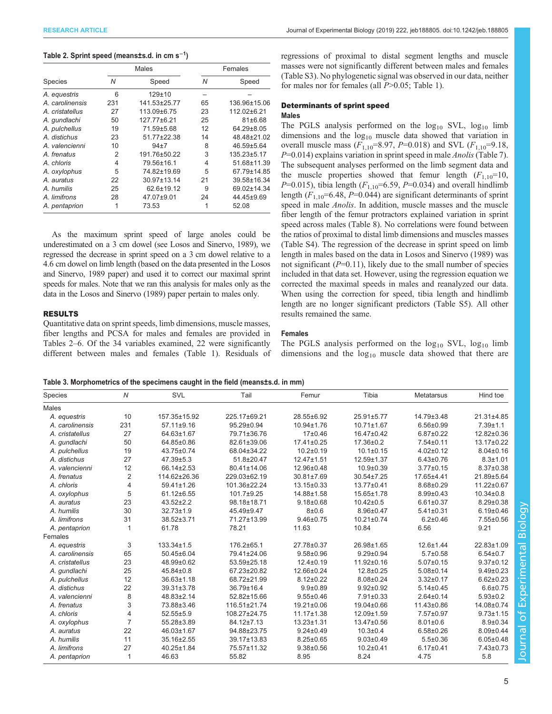## Table 2. Sprint speed (means±s.d. in cm s<sup>−1</sup>)

|                 |     | <b>Males</b>      | Females |              |  |
|-----------------|-----|-------------------|---------|--------------|--|
| <b>Species</b>  | Ν   | Speed             | N       | Speed        |  |
| A. equestris    | 6   | $129 + 10$        |         |              |  |
| A. carolinensis | 231 | 141.53±25.77      | 65      | 136.96±15.06 |  |
| A. cristatellus | 27  | 113.09±6.75       | 23      | 112.02±6.21  |  |
| A. qundlachi    | 50  | 127.77±6.21       | 25      | 81±6.68      |  |
| A. pulchellus   | 19  | 71.59±5.68        | 12      | 64.29±8.05   |  |
| A. distichus    | 23  | 51.77±22.38       | 14      | 48.48±21.02  |  |
| A. valencienni  | 10  | $94+7$            | 8       | 46.59±5.64   |  |
| A. frenatus     | 2   | 191.76±50.22      | 3       | 135.23±5.17  |  |
| A. chloris      | 4   | 79.56±16.1        | 4       | 51.68±11.39  |  |
| A. oxylophus    | 5   | 74.82±19.69       | 5       | 67.79±14.85  |  |
| A. auratus      | 22  | $30.97 \pm 13.14$ | 21      | 39.58±16.34  |  |
| A. humilis      | 25  | 62.6±19.12        | 9       | 69.02±14.34  |  |
| A. limifrons    | 28  | 47.07±9.01        | 24      | 44.45±9.69   |  |
| A. pentaprion   | 1   | 73.53             |         | 52.08        |  |

As the maximum sprint speed of large anoles could be underestimated on a 3 cm dowel (see [Losos and Sinervo, 1989](#page-9-0)), we regressed the decrease in sprint speed on a 3 cm dowel relative to a 4.6 cm dowel on limb length (based on the data presented in the [Losos](#page-9-0) [and Sinervo, 1989](#page-9-0) paper) and used it to correct our maximal sprint speeds for males. Note that we ran this analysis for males only as the data in the [Losos and Sinervo \(1989\)](#page-9-0) paper pertain to males only.

# RESULTS

Quantitative data on sprint speeds, limb dimensions, muscle masses, fiber lengths and PCSA for males and females are provided in Tables 2–[6.](#page-6-0) Of the 34 variables examined, 22 were significantly different between males and females [\(Table 1\)](#page-3-0). Residuals of regressions of proximal to distal segment lengths and muscle masses were not significantly different between males and females [\(Table S3\)](http://jeb.biologists.org/lookup/doi/10.1242/jeb.188805.supplemental). No phylogenetic signal was observed in our data, neither for males nor for females (all  $P>0.05$ ; [Table 1](#page-3-0)).

## Determinants of sprint speed

## Males

The PGLS analysis performed on the  $log_{10}$  SVL,  $log_{10}$  limb dimensions and the  $log_{10}$  muscle data showed that variation in overall muscle mass ( $F_{1,10}$ =8.97, P=0.018) and SVL ( $F_{1,10}$ =9.18,  $P=0.014$ ) explains variation in sprint speed in male *Anolis* ([Table 7\)](#page-6-0). The subsequent analyses performed on the limb segment data and the muscle properties showed that femur length  $(F_{1,10}=10,$  $P=0.015$ ), tibia length ( $F_{1,10}=6.59$ ,  $P=0.034$ ) and overall hindlimb length  $(F_{1,10} = 6.48, P = 0.044)$  are significant determinants of sprint speed in male *Anolis*. In addition, muscle masses and the muscle fiber length of the femur protractors explained variation in sprint speed across males ([Table 8](#page-7-0)). No correlations were found between the ratios of proximal to distal limb dimensions and muscles masses [\(Table S4](http://jeb.biologists.org/lookup/doi/10.1242/jeb.188805.supplemental)). The regression of the decrease in sprint speed on limb length in males based on the data in [Losos and Sinervo \(1989\)](#page-9-0) was not significant  $(P=0.11)$ , likely due to the small number of species included in that data set. However, using the regression equation we corrected the maximal speeds in males and reanalyzed our data. When using the correction for speed, tibia length and hindlimb length are no longer significant predictors [\(Table S5](http://jeb.biologists.org/lookup/doi/10.1242/jeb.188805.supplemental)). All other results remained the same.

## Females

The PGLS analysis performed on the  $log_{10}$  SVL,  $log_{10}$  limb dimensions and the  $log_{10}$  muscle data showed that there are

Table 3. Morphometrics of the specimens caught in the field (means±s.d. in mm)

| Species         | $\overline{N}$ | SVL              | Tail         | Femur            | Tibia            | <b>Metatarsus</b> | Hind toe         |
|-----------------|----------------|------------------|--------------|------------------|------------------|-------------------|------------------|
| <b>Males</b>    |                |                  |              |                  |                  |                   |                  |
| A. equestris    | 10             | 157.35±15.92     | 225.17±69.21 | 28.55±6.92       | 25.91±5.77       | 14.79±3.48        | 21.31±4.85       |
| A. carolinensis | 231            | 57.11±9.16       | 95.29±0.94   | 10.94±1.76       | $10.71 \pm 1.67$ | $6.56 \pm 0.99$   | $7.39 + 1.1$     |
| A. cristatellus | 27             | 64.63±1.67       | 79.71±36.76  | 17±0.46          | 16.47±0.42       | $6.87 \pm 0.22$   | 12.82±0.36       |
| A. qundlachi    | 50             | 64.85±0.86       | 82.61±39.06  | $17.41 \pm 0.25$ | 17.36±0.2        | 7.54±0.11         | $13.17 \pm 0.22$ |
| A. pulchellus   | 19             | 43.75±0.74       | 68.04±34.22  | $10.2 \pm 0.19$  | $10.1 \pm 0.15$  | $4.02 \pm 0.12$   | $8.04 \pm 0.16$  |
| A. distichus    | 27             | $47.39 \pm 5.3$  | 51.8±20.47   | 12.47±1.51       | 12.59±1.37       | $6.43 \pm 0.76$   | $8.3 + 1.01$     |
| A. valencienni  | 12             | 66.14±2.53       | 80.41±14.06  | 12.96±0.48       | $10.9 + 0.39$    | $3.77 \pm 0.15$   | $8.37 \pm 0.38$  |
| A. frenatus     | $\overline{2}$ | 114.62±26.36     | 229.03±62.19 | 30.81±7.69       | $30.54 \pm 7.25$ | 17.65±4.41        | 21.89±5.64       |
| A. chloris      | $\overline{4}$ | 59.41±1.26       | 101.36±22.24 | 13.15±0.33       | 13.77±0.41       | 8.68±0.29         | 11.22±0.67       |
| A. oxylophus    | 5              | 61.12±6.55       | 101.7±9.25   | 14.88±1.58       | 15.65±1.78       | $8.99 \pm 0.43$   | $10.34 \pm 0.8$  |
| A. auratus      | 23             | $43.52 \pm 2.2$  | 98.18±18.71  | $9.18 \pm 0.68$  | $10.42 \pm 0.5$  | $6.61 \pm 0.37$   | $8.29 \pm 0.38$  |
| A. humilis      | 30             | 32.73±1.9        | 45.49±9.47   | 8±0.6            | 8.96±0.47        | $5.41 \pm 0.31$   | $6.19 \pm 0.46$  |
| A. limifrons    | 31             | 38.52±3.71       | 71.27±13.99  | $9.46 \pm 0.75$  | $10.21 \pm 0.74$ | $6.2 \pm 0.46$    | 7.55±0.56        |
| A. pentaprion   |                | 61.78            | 78.21        | 11.63            | 10.84            | 6.56              | 9.21             |
| Females         |                |                  |              |                  |                  |                   |                  |
| A. equestris    | 3              | $133.34 \pm 1.5$ | 176.2±65.1   | 27.78±0.37       | 26.98±1.65       | 12.6±1.44         | 22.83±1.09       |
| A. carolinensis | 65             | 50.45±6.04       | 79.41±24.06  | $9.58 \pm 0.96$  | $9.29 \pm 0.94$  | $5.7 \pm 0.58$    | $6.54 \pm 0.7$   |
| A. cristatellus | 23             | 48.99±0.62       | 53.59±25.18  | $12.4 \pm 0.19$  | 11.92±0.16       | $5.07 \pm 0.15$   | $9.37 \pm 0.12$  |
| A. qundlachi    | 25             | 45.84±0.8        | 67.23±20.82  | 12.66±0.24       | 12.8±0.25        | $5.08 \pm 0.14$   | $9.49 \pm 0.23$  |
| A. pulchellus   | 12             | $36.63 \pm 1.18$ | 68.72±21.99  | $8.12 \pm 0.22$  | $8.08 \pm 0.24$  | $3.32 \pm 0.17$   | $6.62 \pm 0.23$  |
| A. distichus    | 22             | 39.31±3.78       | 36.79±16.4   | $9.9 + 0.89$     | $9.92 \pm 0.92$  | $5.14 \pm 0.45$   | $6.6 \pm 0.75$   |
| A. valencienni  | 8              | 48.83±2.14       | 52.82±15.66  | $9.55 \pm 0.46$  | $7.91 \pm 0.33$  | $2.64 \pm 0.14$   | $5.93 \pm 0.2$   |
| A. frenatus     | 3              | 73.88±3.46       | 116.51±21.74 | 19.21±0.06       | 19.04±0.66       | 11.43±0.86        | 14.08±0.74       |
| A. chloris      | $\overline{4}$ | $52.55 \pm 5.9$  | 108.27±24.75 | $11.17 \pm 1.38$ | 12.09±1.59       | 7.57±0.97         | $9.73 \pm 1.15$  |
| A. oxylophus    | $\overline{7}$ | 55.28±3.89       | 84.12±7.13   | $13.23 \pm 1.31$ | 13.47±0.56       | $8.01 \pm 0.6$    | $8.9 \pm 0.34$   |
| A. auratus      | 22             | 46.03±1.67       | 94.88±23.75  | $9.24 \pm 0.49$  | $10.3 + 0.4$     | $6.58 \pm 0.26$   | $8.09 \pm 0.44$  |
| A. humilis      | 11             | 35.16±2.55       | 39.17±13.83  | $8.25 \pm 0.65$  | $9.03 \pm 0.49$  | $5.5 \pm 0.36$    | $6.05 \pm 0.48$  |
| A. limifrons    | 27             | 40.25±1.84       | 75.57±11.32  | $9.38 \pm 0.56$  | $10.2 + 0.41$    | $6.17 \pm 0.41$   | 7.43±0.73        |
| A. pentaprion   | $\overline{1}$ | 46.63            | 55.82        | 8.95             | 8.24             | 4.75              | 5.8              |

Journal of Experimental Biologylournal of Experimental Biology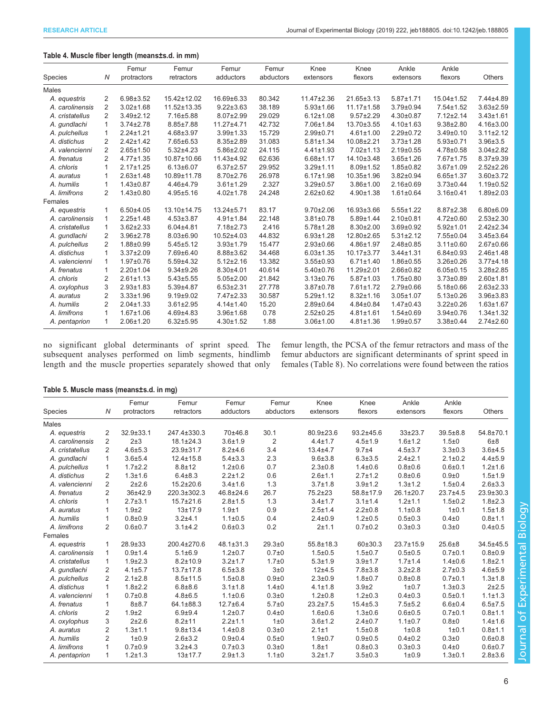# Table 4. Muscle fiber length (means±s.d. in mm)

|                 |                | Femur           | Femur           | Femur           | Femur     | Knee             | Knee            | Ankle           | Ankle           |                 |
|-----------------|----------------|-----------------|-----------------|-----------------|-----------|------------------|-----------------|-----------------|-----------------|-----------------|
| Species         | Ν              | protractors     | retractors      | adductors       | abductors | extensors        | flexors         | extensors       | flexors         | <b>Others</b>   |
| <b>Males</b>    |                |                 |                 |                 |           |                  |                 |                 |                 |                 |
| A. equestris    | 2              | $6.98 \pm 3.52$ | 15.42±12.02     | 16.69±6.33      | 80.342    | $11.47 \pm 2.36$ | 21.65±3.13      | $5.87 \pm 1.71$ | 15.04±1.52      | 7.44±4.89       |
| A. carolinensis | $\overline{2}$ | $3.02 \pm 1.68$ | 11.52±13.35     | $9.22 \pm 3.63$ | 38.189    | $5.93 \pm 1.66$  | 11.17±1.58      | 3.79±0.94       | $7.54 \pm 1.52$ | $3.63 \pm 2.59$ |
| A. cristatellus | $\overline{2}$ | $3.49 \pm 2.12$ | 7.16±5.88       | $8.07 \pm 2.99$ | 29.029    | $6.12 \pm 1.08$  | $9.57 \pm 2.29$ | $4.30 \pm 0.87$ | $7.12 \pm 2.14$ | $3.43 \pm 1.61$ |
| A. qundlachi    | 1              | $3.74 \pm 2.78$ | $8.85 \pm 7.88$ | 11.27±4.71      | 42.732    | 7.06±1.84        | 13.70±3.55      | $4.10 \pm 1.63$ | $9.38 \pm 2.80$ | 4.16±3.00       |
| A. pulchellus   | 1              | $2.24 \pm 1.21$ | $4.68 \pm 3.97$ | $3.99 + 1.33$   | 15.729    | $2.99 \pm 0.71$  | $4.61 \pm 1.00$ | $2.29 \pm 0.72$ | 3.49±0.10       | $3.11 \pm 2.12$ |
| A. distichus    | 2              | $2.42 \pm 1.42$ | $7.65 \pm 6.53$ | $8.35 \pm 2.89$ | 31.083    | $5.81 \pm 1.34$  | 10.08±2.21      | $3.73 \pm 1.28$ | $5.93 \pm 0.71$ | $3.96 \pm 3.5$  |
| A. valencienni  | 2              | $2.65 \pm 1.50$ | $5.32{\pm}4.23$ | $5.86 \pm 2.02$ | 24.115    | $4.41 \pm 1.93$  | $7.02 \pm 1.13$ | $2.19 \pm 0.55$ | $4.78 \pm 0.58$ | $3.04 \pm 2.82$ |
| A. frenatus     | 2              | $4.77 \pm 1.35$ | 10.87±10.66     | 11.43±4.92      | 62.636    | $6.68 \pm 1.17$  | 14.10±3.48      | $3.65 \pm 1.26$ | 7.67±1.75       | 8.37±9.39       |
| A. chloris      | $\mathbf{1}$   | $2.17 \pm 1.25$ | $6.13 \pm 6.07$ | $6.37 \pm 2.57$ | 29.952    | $3.29 \pm 1.11$  | $8.09 + 1.52$   | $1.85 \pm 0.82$ | $3.67 \pm 1.09$ | $2.52 \pm 2.26$ |
| A. auratus      | 1              | $2.63 \pm 1.48$ | 10.89±11.78     | $8.70 \pm 2.76$ | 26.978    | $6.17 \pm 1.98$  | 10.35±1.96      | $3.82 \pm 0.94$ | $6.65 \pm 1.37$ | $3.60 \pm 3.72$ |
| A. humilis      | 1              | $1.43 \pm 0.87$ | 4.46±4.79       | $3.61 \pm 1.29$ | 2.327     | $3.29 \pm 0.57$  | $3.86 \pm 1.00$ | $2.16 \pm 0.69$ | $3.73 \pm 0.44$ | $1.19 \pm 0.52$ |
| A. limifrons    | 2              | $1.43 \pm 0.80$ | $4.95 + 5.16$   | $4.02 \pm 1.78$ | 24.248    | $2.62 \pm 0.62$  | $4.90 \pm 1.38$ | $1.61 \pm 0.64$ | $3.16 \pm 0.41$ | $1.89 \pm 2.03$ |
| Females         |                |                 |                 |                 |           |                  |                 |                 |                 |                 |
| A. equestris    | 1              | $6.50 + 4.05$   | 13.10±14.75     | 13.24±5.71      | 83.17     | $9.70 \pm 2.06$  | 16.93±3.66      | $5.55 \pm 1.22$ | $8.87 \pm 2.38$ | $6.80 \pm 6.09$ |
| A. carolinensis | $\mathbf{1}$   | $2.25 \pm 1.48$ | $4.53 \pm 3.87$ | $4.91 \pm 1.84$ | 22.148    | $3.81 \pm 0.78$  | $5.89 \pm 1.44$ | $2.10 \pm 0.81$ | $4.72 \pm 0.60$ | $2.53 \pm 2.30$ |
| A. cristatellus | 1              | $3.62 \pm 2.33$ | $6.04{\pm}4.81$ | $7.18 \pm 2.73$ | 2.416     | $5.78 \pm 1.28$  | $8.30 \pm 2.00$ | $3.69 \pm 0.92$ | $5.92 \pm 1.01$ | $2.42 \pm 2.34$ |
| A. gundlachi    | 2              | 3.96±2.78       | $8.03 \pm 6.90$ | 10.52±4.03      | 44.832    | $6.93 \pm 1.28$  | 12.80±2.65      | $5.31 \pm 2.12$ | 7.55±0.04       | $3.45 \pm 3.64$ |
| A. pulchellus   | 2              | 1.88±0.99       | $5.45 \pm 5.12$ | $3.93 + 1.79$   | 15.477    | $2.93 \pm 0.66$  | 4.86±1.97       | $2.48 \pm 0.85$ | $3.11 \pm 0.60$ | $2.67 \pm 0.66$ |
| A. distichus    | $\mathbf{1}$   | $3.37 \pm 2.09$ | 7.69±6.40       | 8.88±3.62       | 34.468    | $6.03 \pm 1.35$  | 10.17±3.77      | $3.44 \pm 1.31$ | $6.84 \pm 0.93$ | 2.46±1.48       |
| A. valencienni  | 1              | $1.97 + 0.76$   | $5.59 + 4.32$   | $5.12 \pm 2.16$ | 13.382    | $3.55 \pm 0.93$  | $6.71 \pm 1.40$ | 1.86±0.55       | $3.26 \pm 0.26$ | $3.77 + 4.18$   |
| A. frenatus     | 1              | $2.20 \pm 1.04$ | $9.34 + 9.26$   | $8.30 + 4.01$   | 40.614    | $5.40 \pm 0.76$  | 11.29±2.01      | $2.66 \pm 0.82$ | $6.05 \pm 0.15$ | $3.28 \pm 2.85$ |
| A. chloris      | 2              | $2.61 \pm 1.13$ | $5.43 \pm 5.55$ | $5.05 \pm 2.00$ | 21.842    | $3.13 \pm 0.76$  | $5.87 \pm 1.03$ | $1.75 \pm 0.80$ | $3.73 \pm 0.89$ | $2.60 + 1.81$   |
| A. oxylophus    | 3              | $2.93 + 1.83$   | $5.39{\pm}4.87$ | $6.53 \pm 2.31$ | 27.778    | $3.87 \pm 0.78$  | $7.61 \pm 1.72$ | $2.79 \pm 0.66$ | $5.18 \pm 0.66$ | $2.63 \pm 2.33$ |
| A. auratus      | $\overline{2}$ | $3.33 \pm 1.96$ | $9.19 \pm 9.02$ | 7.47±2.33       | 30.587    | $5.29 \pm 1.12$  | $8.32 \pm 1.16$ | $3.05 \pm 1.07$ | $5.13 \pm 0.26$ | 3.96±3.83       |
| A. humilis      | 2              | $2.04 \pm 1.33$ | $3.61 \pm 2.95$ | $4.14 \pm 1.40$ | 15.20     | $2.89 + 0.64$    | $4.84 \pm 0.84$ | $1.47 \pm 0.43$ | $3.22 \pm 0.26$ | $1.63 \pm 1.67$ |
| A. limifrons    | 1              | $1.67 \pm 1.06$ | $4.69{\pm}4.83$ | $3.96 \pm 1.68$ | 0.78      | $2.52 \pm 0.25$  | $4.81 \pm 1.61$ | $1.54 \pm 0.69$ | $3.94 \pm 0.76$ | $1.34 \pm 1.32$ |
| A. pentaprion   | 1              | $2.06 \pm 1.20$ | $6.32 \pm 5.95$ | $4.30 \pm 1.52$ | 1.88      | $3.06 \pm 1.00$  | $4.81 \pm 1.36$ | $1.99 + 0.57$   | 3.38±0.44       | $2.74 \pm 2.60$ |

no significant global determinants of sprint speed. The subsequent analyses performed on limb segments, hindlimb length and the muscle properties separately showed that only femur length, the PCSA of the femur retractors and mass of the femur abductors are significant determinants of sprint speed in females ([Table 8](#page-7-0)). No correlations were found between the ratios

#### Table 5. Muscle mass (means±s.d. in mg)

| Species         | N              | Femur<br>protractors | Femur<br>retractors | Femur<br>adductors | Femur<br>abductors | Knee<br>extensors | Knee<br>flexors | Ankle<br>extensors | Ankle<br>flexors | <b>Others</b> |
|-----------------|----------------|----------------------|---------------------|--------------------|--------------------|-------------------|-----------------|--------------------|------------------|---------------|
| <b>Males</b>    |                |                      |                     |                    |                    |                   |                 |                    |                  |               |
| A. equestris    | $\overline{2}$ | 32.9±33.1            | 247.4±330.3         | 70±46.8            | 30.1               | 80.9±23.6         | 93.2±45.6       | $33 + 23.7$        | $39.5 \pm 8.8$   | 54.8±70.1     |
| A. carolinensis | 2              | $2+3$                | $18.1 \pm 24.3$     | $3.6 + 1.9$        | 2                  | $4.4 \pm 1.7$     | $4.5 \pm 1.9$   | $1.6 + 1.2$        | $1.5 \pm 0$      | 6±8           |
| A. cristatellus | $\overline{2}$ | $4.6 + 5.3$          | 23.9±31.7           | $8.2 + 4.6$        | 3.4                | $13.4 + 4.7$      | $9.7 + 4$       | $4.5 \pm 3.7$      | $3.3 \pm 0.3$    | $3.6 + 4.5$   |
| A. gundlachi    | $\mathbf{1}$   | $3.6 + 5.4$          | $12.4 \pm 15.8$     | $5.4 \pm 3.3$      | 2.3                | $9.6 + 3.8$       | $6.3 \pm 3.5$   | $2.4 + 2.1$        | $2.1 \pm 0.2$    | $4.4 + 5.9$   |
| A. pulchellus   | 1              | $1.7 \pm 2.2$        | $8.8 + 12$          | $1.2 \pm 0.6$      | 0.7                | $2.3 \pm 0.8$     | $1.4 + 0.6$     | $0.8 + 0.6$        | $0.6 + 0.1$      | $1.2 + 1.6$   |
| A. distichus    | $\overline{2}$ | $1.3 + 1.6$          | $6.4 \pm 8.3$       | $2.2 \pm 1.2$      | 0.6                | $2.6 + 1.1$       | $2.7 \pm 1.2$   | $0.8 + 0.6$        | $0.9\pm0$        | $1.5 + 1.9$   |
| A. valencienni  | 2              | $2 + 2.6$            | $15.2 \pm 20.6$     | $3.4 + 1.6$        | 1.3                | $3.7 + 1.8$       | $3.9 + 1.2$     | $1.3 + 1.2$        | $1.5 \pm 0.4$    | $2.6 + 3.3$   |
| A. frenatus     | 2              | 36±42.9              | 220.3±302.3         | 46.8±24.6          | 26.7               | 75.2±23           | 58.8±17.9       | 26.1±20.7          | $23.7 + 4.5$     | 23.9±30.3     |
| A. chloris      | 1              | $2.7 + 3.1$          | $15.7 \pm 21.6$     | $2.8 + 1.5$        | 1.3                | $3.4 + 1.7$       | $3.1 \pm 1.4$   | $1.2 + 1.1$        | $1.5 \pm 0.2$    | $1.8 + 2.3$   |
| A. auratus      |                | $1.9\pm2$            | $13 + 17.9$         | $1.9 \pm 1$        | 0.9                | $2.5 + 1.4$       | $2.2 \pm 0.8$   | $1.1 \pm 0.8$      | $1\pm0.1$        | $1.5 + 1.8$   |
| A. humilis      | $\mathbf{1}$   | $0.8 + 0.9$          | $3.2 + 4.1$         | $1.1 \pm 0.5$      | 0.4                | $2.4 \pm 0.9$     | $1.2 + 0.5$     | $0.5 \pm 0.3$      | $0.4\pm0$        | $0.8 + 1.1$   |
| A. limifrons    | $\overline{2}$ | $0.6 + 0.7$          | $3.1 \pm 4.2$       | $0.6 + 0.3$        | 0.2                | $2 + 1.1$         | $0.7 + 0.2$     | $0.3 + 0.3$        | $0.3\pm0$        | $0.4 + 0.5$   |
| Females         |                |                      |                     |                    |                    |                   |                 |                    |                  |               |
| A. equestris    | $\mathbf{1}$   | $28.9 \pm 33$        | 200.4±270.6         | 48.1±31.3          | $29.3 + 0$         | $55.8 \pm 18.3$   | 60±30.3         | $23.7 \pm 15.9$    | $25.6 + 8$       | 34.5±45.5     |
| A. carolinensis | $\mathbf{1}$   | $0.9 + 1.4$          | $5.1 \pm 6.9$       | $1.2 + 0.7$        | $0.7 + 0$          | $1.5 \pm 0.5$     | $1.5 + 0.7$     | $0.5 + 0.5$        | $0.7 + 0.1$      | $0.8 + 0.9$   |
| A. cristatellus | 1              | $1.9 + 2.3$          | $8.2 \pm 10.9$      | $3.2 + 1.7$        | $1.7 + 0$          | $5.3 + 1.9$       | $3.9 + 1.7$     | $1.7 + 1.4$        | $1.4 + 0.6$      | $1.8 + 2.1$   |
| A. qundlachi    | 2              | $4.1 \pm 5.7$        | $13.7 \pm 17.8$     | $6.5 \pm 3.8$      | 3±0                | $12+4.5$          | $7.8 + 3.8$     | $3.2 \pm 2.8$      | $2.7 \pm 0.3$    | $4.6 + 5.9$   |
| A. pulchellus   | 2              | $2.1 \pm 2.8$        | $8.5 \pm 11.5$      | $1.5 \pm 0.8$      | $0.9 + 0$          | $2.3 + 0.9$       | $1.8 + 0.7$     | $0.8 + 0.8$        | $0.7 + 0.1$      | $1.3 + 1.8$   |
| A. distichus    | $\mathbf{1}$   | $1.8 \pm 2.2$        | $6.8 + 8.6$         | $3.1 \pm 1.8$      | $1.4\pm0$          | $4.1 \pm 1.8$     | 3.9±2           | $1\pm0.7$          | $1.3 + 0.3$      | $2 + 2.5$     |
| A. valencienni  | $\mathbf{1}$   | $0.7 + 0.8$          | $4.8 + 6.5$         | $1.1 \pm 0.6$      | $0.3 + 0$          | $1.2 \pm 0.8$     | $1.2 \pm 0.3$   | $0.4 \pm 0.3$      | $0.5 + 0.1$      | $1.1 \pm 1.3$ |
| A. frenatus     | 1              | $8 + 8.7$            | 64.1±88.3           | $12.7 + 6.4$       | $5.7 + 0$          | $23.2 \pm 7.5$    | $15.4 \pm 5.3$  | $7.5 + 5.2$        | $6.6 + 0.4$      | $6.5 \pm 7.5$ |
| A. chloris      | 2              | $1.9\pm2$            | $6.9 + 9.4$         | $1.2 + 0.7$        | $0.4 + 0$          | $1.6 + 0.6$       | $1.3 + 0.6$     | $0.6 + 0.5$        | $0.7 + 0.1$      | $0.8 + 1.1$   |
| A. oxylophus    | 3              | $2 + 2.6$            | $8.2 + 11$          | $2.2 + 1.1$        | $1\pm 0$           | $3.6 + 1.2$       | $2.4 \pm 0.7$   | $1.1 \pm 0.7$      | $0.8 + 0$        | $1.4 + 1.6$   |
| A. auratus      | 2              | $1.3 + 1.1$          | $9.8 + 13.4$        | $1.4 + 0.8$        | $0.3 + 0$          | $2.1 + 1$         | $1.5 \pm 0.8$   | $1\pm0.8$          | $1\pm0.1$        | $0.8 + 1.1$   |
| A. humilis      | 2              | $1\pm0.9$            | $2.6 \pm 3.2$       | $0.9 + 0.4$        | $0.5 + 0$          | $1.9 + 0.7$       | $0.9 + 0.5$     | $0.4 + 0.2$        | $0.3\pm0$        | $0.6 + 0.8$   |
| A. limifrons    | 1              | $0.7 + 0.9$          | $3.2 + 4.3$         | $0.7 + 0.3$        | $0.3\pm0$          | $1.8 + 1$         | $0.8 + 0.3$     | $0.3 + 0.3$        | $0.4\pm0$        | $0.6 + 0.7$   |
| A. pentaprion   | $\mathbf{1}$   | $1.2 + 1.3$          | $13 + 17.7$         | $2.9 + 1.3$        | $1.1 + 0$          | $3.2 + 1.7$       | $3.5 \pm 0.3$   | $1\pm0.9$          | $1.3 + 0.1$      | $2.8 + 3.6$   |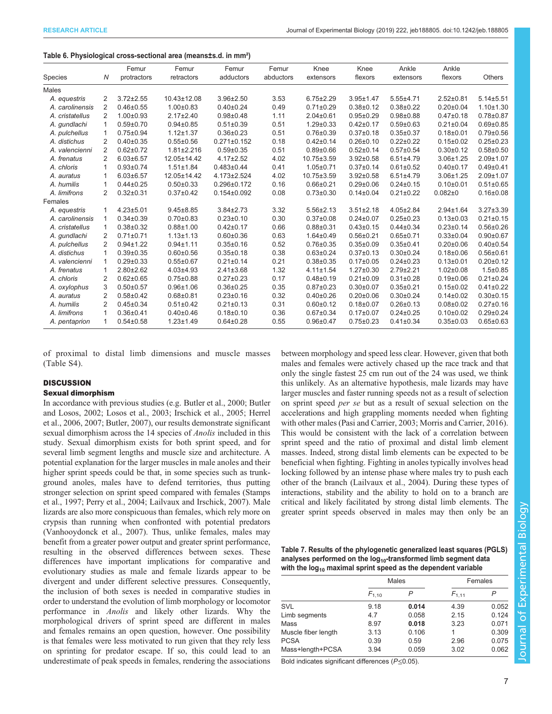#### <span id="page-6-0"></span>Table 6. Physiological cross-sectional area (means±s.d. in mm²)

|                 |                | Femur           | Femur            | Femur             | Femur     | Knee            | Knee            | Ankle           | Ankle           |                 |
|-----------------|----------------|-----------------|------------------|-------------------|-----------|-----------------|-----------------|-----------------|-----------------|-----------------|
| Species         | Ν              | protractors     | retractors       | adductors         | abductors | extensors       | flexors         | extensors       | flexors         | Others          |
| <b>Males</b>    |                |                 |                  |                   |           |                 |                 |                 |                 |                 |
| A. equestris    | 2              | $3.72 \pm 2.55$ | 10.43±12.08      | 3.96±2.50         | 3.53      | $6.75 \pm 2.29$ | $3.95 \pm 1.47$ | $5.55 \pm 4.71$ | $2.52 \pm 0.81$ | $5.14 \pm 5.51$ |
| A. carolinensis | 2              | $0.46 \pm 0.55$ | $1.00 \pm 0.83$  | $0.40 \pm 0.24$   | 0.49      | $0.71 \pm 0.29$ | $0.38 + 0.12$   | $0.38 + 0.22$   | $0.20 \pm 0.04$ | $1.10 + 1.30$   |
| A. cristatellus | $\overline{2}$ | $1.00 \pm 0.93$ | $2.17 \pm 2.40$  | $0.98 + 0.48$     | 1.11      | $2.04 \pm 0.61$ | $0.95 + 0.29$   | $0.98 + 0.88$   | $0.47 + 0.18$   | $0.78 + 0.87$   |
| A. qundlachi    |                | $0.59 \pm 0.70$ | $0.94 \pm 0.85$  | $0.51 \pm 0.39$   | 0.51      | $1.29 \pm 0.33$ | $0.42 \pm 0.17$ | $0.59 \pm 0.63$ | $0.21 \pm 0.04$ | $0.69 + 0.85$   |
| A. pulchellus   |                | $0.75 \pm 0.94$ | $1.12 \pm 1.37$  | $0.36 \pm 0.23$   | 0.51      | $0.76 \pm 0.39$ | $0.37 \pm 0.18$ | $0.35 \pm 0.37$ | $0.18 + 0.01$   | $0.79 \pm 0.56$ |
| A. distichus    | 2              | $0.40 \pm 0.35$ | $0.55 \pm 0.56$  | $0.271 \pm 0.152$ | 0.18      | $0.42 \pm 0.14$ | $0.26 + 0.10$   | $0.22 \pm 0.22$ | $0.15 \pm 0.02$ | $0.25 \pm 0.23$ |
| A. valencienni  | 2              | $0.62 \pm 0.72$ | $1.81 \pm 2.216$ | $0.59 + 0.35$     | 0.51      | $0.89 \pm 0.66$ | $0.52 \pm 0.14$ | $0.57 \pm 0.54$ | $0.30 \pm 0.12$ | $0.58 + 0.50$   |
| A. frenatus     | 2              | $6.03 \pm 6.57$ | 12.05±14.42      | $4.17 \pm 2.52$   | 4.02      | 10.75±3.59      | $3.92 \pm 0.58$ | $6.51 \pm 4.79$ | $3.06 \pm 1.25$ | $2.09 \pm 1.07$ |
| A. chloris      |                | $0.93 \pm 0.74$ | $1.51 \pm 1.84$  | $0.483 \pm 0.44$  | 0.41      | $1.05 \pm 0.71$ | $0.37 \pm 0.14$ | $0.61 \pm 0.52$ | $0.40 \pm 0.17$ | $0.49 + 0.41$   |
| A. auratus      |                | $6.03 \pm 6.57$ | 12.05±14.42      | 4.173±2.524       | 4.02      | 10.75±3.59      | $3.92 \pm 0.58$ | $6.51 \pm 4.79$ | $3.06 \pm 1.25$ | $2.09 + 1.07$   |
| A. humilis      |                | $0.44 \pm 0.25$ | $0.50 \pm 0.33$  | 0.296±0.172       | 0.16      | $0.66 \pm 0.21$ | $0.29 \pm 0.06$ | $0.24 \pm 0.15$ | $0.10 \pm 0.01$ | $0.51 \pm 0.65$ |
| A. limifrons    | 2              | $0.32 \pm 0.31$ | $0.37 \pm 0.42$  | $0.154 \pm 0.092$ | 0.08      | $0.73 \pm 0.30$ | $0.14 \pm 0.04$ | $0.21 \pm 0.22$ | $0.082 + 0$     | $0.16 \pm 0.08$ |
| Females         |                |                 |                  |                   |           |                 |                 |                 |                 |                 |
| A. equestris    |                | $4.23 \pm 5.01$ | $9.45 \pm 8.85$  | $3.84 \pm 2.73$   | 3.32      | $5.56 \pm 2.13$ | $3.51 \pm 2.18$ | $4.05 \pm 2.84$ | $2.94 \pm 1.64$ | $3.27 \pm 3.39$ |
| A. carolinensis |                | $0.34 \pm 0.39$ | $0.70 \pm 0.83$  | $0.23 \pm 0.10$   | 0.30      | $0.37 \pm 0.08$ | $0.24 \pm 0.07$ | $0.25 \pm 0.23$ | $0.13 \pm 0.03$ | $0.21 \pm 0.15$ |
| A. cristatellus |                | $0.38 \pm 0.32$ | $0.88 + 1.00$    | $0.42 \pm 0.17$   | 0.66      | $0.88 + 0.31$   | $0.43 \pm 0.15$ | $0.44 \pm 0.34$ | $0.23 \pm 0.14$ | $0.56 \pm 0.26$ |
| A. gundlachi    | 2              | $0.71 \pm 0.71$ | $1.13 \pm 1.13$  | $0.60 \pm 0.36$   | 0.63      | $1.64 \pm 0.49$ | $0.56 \pm 0.21$ | $0.65 \pm 0.71$ | $0.33 \pm 0.04$ | $0.90 \pm 0.67$ |
| A. pulchellus   | 2              | $0.94 \pm 1.22$ | $0.94 \pm 1.11$  | $0.35 \pm 0.16$   | 0.52      | $0.76 \pm 0.35$ | $0.35 \pm 0.09$ | $0.35 \pm 0.41$ | $0.20 \pm 0.06$ | $0.40 \pm 0.54$ |
| A. distichus    |                | $0.39 + 0.35$   | $0.60 \pm 0.56$  | $0.35 \pm 0.18$   | 0.38      | $0.63 \pm 0.24$ | $0.37 + 0.13$   | $0.30 \pm 0.24$ | $0.18 + 0.06$   | $0.56 \pm 0.61$ |
| A. valencienni  |                | $0.29 \pm 0.33$ | $0.55 \pm 0.67$  | $0.21 \pm 0.14$   | 0.21      | $0.38 \pm 0.35$ | $0.17 \pm 0.05$ | $0.24 \pm 0.23$ | $0.13 \pm 0.01$ | $0.20 \pm 0.12$ |
| A. frenatus     |                | $2.80 \pm 2.62$ | $4.03 + 4.93$    | $2.41 \pm 3.68$   | 1.32      | $4.11 \pm 1.54$ | $1.27 \pm 0.30$ | $2.79 \pm 2.21$ | $1.02 \pm 0.08$ | $1.5 \pm 0.85$  |
| A. chloris      | 2              | $0.62 \pm 0.65$ | $0.75 \pm 0.88$  | $0.27 \pm 0.23$   | 0.17      | $0.48 + 0.19$   | $0.21 \pm 0.09$ | $0.31 \pm 0.28$ | $0.19 \pm 0.06$ | $0.21 \pm 0.24$ |
| A. oxylophus    | 3              | $0.50 \pm 0.57$ | $0.96 + 1.06$    | $0.36 \pm 0.25$   | 0.35      | $0.87 + 0.23$   | $0.30 + 0.07$   | $0.35 \pm 0.21$ | $0.15 \pm 0.02$ | $0.41 \pm 0.22$ |
| A. auratus      | 2              | $0.58 \pm 0.42$ | $0.68 + 0.81$    | $0.23 \pm 0.16$   | 0.32      | $0.40 \pm 0.26$ | $0.20 \pm 0.06$ | $0.30 \pm 0.24$ | $0.14 \pm 0.02$ | $0.30 + 0.15$   |
| A. humilis      | 2              | $0.45 \pm 0.34$ | $0.51 \pm 0.42$  | $0.21 \pm 0.13$   | 0.31      | $0.60 \pm 0.12$ | $0.18 + 0.07$   | $0.26 \pm 0.13$ | $0.08 \pm 0.02$ | $0.27 \pm 0.16$ |
| A. limifrons    |                | $0.36 \pm 0.41$ | $0.40 \pm 0.46$  | $0.18 + 0.10$     | 0.36      | $0.67 \pm 0.34$ | $0.17 \pm 0.07$ | $0.24 \pm 0.25$ | $0.10 \pm 0.02$ | $0.29 + 0.24$   |
| A. pentaprion   | 1              | $0.54 \pm 0.58$ | $1.23 \pm 1.49$  | $0.64 \pm 0.28$   | 0.55      | $0.96 + 0.47$   | $0.75 \pm 0.23$ | $0.41 \pm 0.34$ | $0.35 \pm 0.03$ | $0.65 \pm 0.63$ |

of proximal to distal limb dimensions and muscle masses [\(Table S4](http://jeb.biologists.org/lookup/doi/10.1242/jeb.188805.supplemental)).

## **DISCUSSION**

## Sexual dimorphism

In accordance with previous studies (e.g. [Butler et al., 2000; Butler](#page-8-0) [and Losos, 2002](#page-8-0); [Losos et al., 2003;](#page-9-0) [Irschick et al., 2005](#page-8-0); [Herrel](#page-8-0) [et al., 2006](#page-8-0), [2007; Butler, 2007](#page-8-0)), our results demonstrate significant sexual dimorphism across the 14 species of *Anolis* included in this study. Sexual dimorphism exists for both sprint speed, and for several limb segment lengths and muscle size and architecture. A potential explanation for the larger muscles in male anoles and their higher sprint speeds could be that, in some species such as trunkground anoles, males have to defend territories, thus putting stronger selection on sprint speed compared with females [\(Stamps](#page-9-0) [et al., 1997](#page-9-0); [Perry et al., 2004; Lailvaux and Irschick, 2007\)](#page-9-0). Male lizards are also more conspicuous than females, which rely more on crypsis than running when confronted with potential predators [\(Vanhooydonck et al., 2007\)](#page-9-0). Thus, unlike females, males may benefit from a greater power output and greater sprint performance, resulting in the observed differences between sexes. These differences have important implications for comparative and evolutionary studies as male and female lizards appear to be divergent and under different selective pressures. Consequently, the inclusion of both sexes is needed in comparative studies in order to understand the evolution of limb morphology or locomotor performance in Anolis and likely other lizards. Why the morphological drivers of sprint speed are different in males and females remains an open question, however. One possibility is that females were less motivated to run given that they rely less on sprinting for predator escape. If so, this could lead to an underestimate of peak speeds in females, rendering the associations between morphology and speed less clear. However, given that both males and females were actively chased up the race track and that only the single fastest 25 cm run out of the 24 was used, we think this unlikely. As an alternative hypothesis, male lizards may have larger muscles and faster running speeds not as a result of selection on sprint speed per se but as a result of sexual selection on the accelerations and high grappling moments needed when fighting with other males ([Pasi and Carrier, 2003](#page-9-0); [Morris and Carrier, 2016\)](#page-9-0). This would be consistent with the lack of a correlation between sprint speed and the ratio of proximal and distal limb element masses. Indeed, strong distal limb elements can be expected to be beneficial when fighting. Fighting in anoles typically involves head locking followed by an intense phase where males try to push each other of the branch ([Lailvaux et al., 2004\)](#page-9-0). During these types of interactions, stability and the ability to hold on to a branch are critical and likely facilitated by strong distal limb elements. The greater sprint speeds observed in males may then only be an

| Table 7. Results of the phylogenetic generalized least squares (PGLS) |
|-----------------------------------------------------------------------|
| analyses performed on the $log_{10}$ -transformed limb segment data   |
| with the $log_{10}$ maximal sprint speed as the dependent variable    |

|                     |            | <b>Males</b> | Females    |       |  |
|---------------------|------------|--------------|------------|-------|--|
|                     | $F_{1.10}$ |              | $F_{1.11}$ |       |  |
| SVL                 | 9.18       | 0.014        | 4.39       | 0.052 |  |
| Limb segments       | 4.7        | 0.058        | 2.15       | 0.124 |  |
| Mass                | 8.97       | 0.018        | 3.23       | 0.071 |  |
| Muscle fiber length | 3.13       | 0.106        | 1          | 0.309 |  |
| <b>PCSA</b>         | 0.39       | 0.59         | 2.96       | 0.075 |  |
| Mass+length+PCSA    | 3.94       | 0.059        | 3.02       | 0.062 |  |
|                     |            |              |            |       |  |

Bold indicates significant differences (P≤0.05).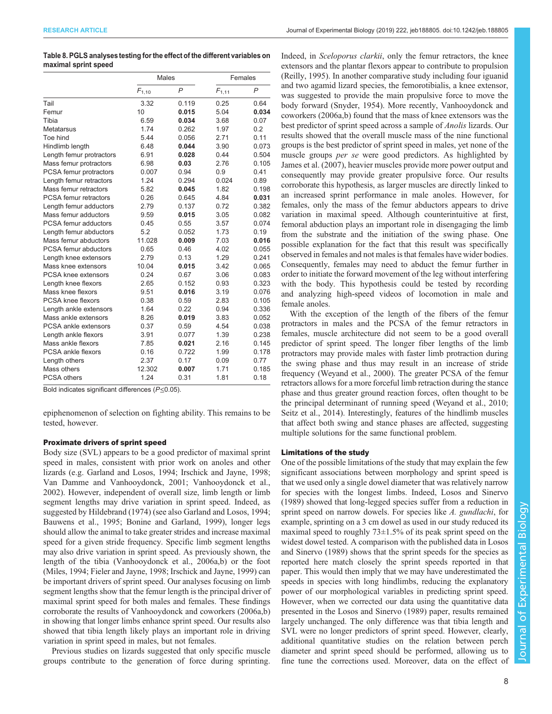## <span id="page-7-0"></span>Table 8. PGLS analyses testing for the effect of the different variables on maximal sprint speed

|                            | <b>Males</b> |                | Females    |       |  |
|----------------------------|--------------|----------------|------------|-------|--|
|                            | $F_{1,10}$   | $\overline{P}$ | $F_{1,11}$ | P     |  |
| Tail                       | 3.32         | 0.119          | 0.25       | 0.64  |  |
| Femur                      | 10           | 0.015          | 5.04       | 0.034 |  |
| Tibia                      | 6.59         | 0.034          | 3.68       | 0.07  |  |
| Metatarsus                 | 1.74         | 0.262          | 1.97       | 0.2   |  |
| Toe hind                   | 5.44         | 0.056          | 2.71       | 0.11  |  |
| Hindlimb length            | 6.48         | 0.044          | 3.90       | 0.073 |  |
| Length femur protractors   | 6.91         | 0.028          | 0.44       | 0.504 |  |
| Mass femur protractors     | 6.98         | 0.03           | 2.76       | 0.105 |  |
| PCSA femur protractors     | 0.007        | 0.94           | 0.9        | 0.41  |  |
| Length femur retractors    | 1.24         | 0.294          | 0.024      | 0.89  |  |
| Mass femur retractors      | 5.82         | 0.045          | 1.82       | 0.198 |  |
| PCSA femur retractors      | 0.26         | 0.645          | 4.84       | 0.031 |  |
| Length femur adductors     | 2.79         | 0.137          | 0.72       | 0.382 |  |
| Mass femur adductors       | 9.59         | 0.015          | 3.05       | 0.082 |  |
| PCSA femur adductors       | 0.45         | 0.55           | 3.57       | 0.074 |  |
| Length femur abductors     | 5.2          | 0.052          | 1.73       | 0.19  |  |
| Mass femur abductors       | 11.028       | 0.009          | 7.03       | 0.016 |  |
| PCSA femur abductors       | 0.65         | 0.46           | 4.02       | 0.055 |  |
| Length knee extensors      | 2.79         | 0.13           | 1.29       | 0.241 |  |
| Mass knee extensors        | 10.04        | 0.015          | 3.42       | 0.065 |  |
| <b>PCSA knee extensors</b> | 0.24         | 0.67           | 3.06       | 0.083 |  |
| Length knee flexors        | 2.65         | 0.152          | 0.93       | 0.323 |  |
| Mass knee flexors          | 9.51         | 0.016          | 3.19       | 0.076 |  |
| PCSA knee flexors          | 0.38         | 0.59           | 2.83       | 0.105 |  |
| Length ankle extensors     | 1.64         | 0.22           | 0.94       | 0.336 |  |
| Mass ankle extensors       | 8.26         | 0.019          | 3.83       | 0.052 |  |
| PCSA ankle extensors       | 0.37         | 0.59           | 4.54       | 0.038 |  |
| Length ankle flexors       | 3.91         | 0.077          | 1.39       | 0.238 |  |
| Mass ankle flexors         | 7.85         | 0.021          | 2.16       | 0.145 |  |
| PCSA ankle flexors         | 0.16         | 0.722          | 1.99       | 0.178 |  |
| Length others              | 2.37         | 0.17           | 0.09       | 0.77  |  |
| Mass others                | 12.302       | 0.007          | 1.71       | 0.185 |  |
| PCSA others                | 1.24         | 0.31           | 1.81       | 0.18  |  |

Bold indicates significant differences (P≤0.05).

epiphenomenon of selection on fighting ability. This remains to be tested, however.

## Proximate drivers of sprint speed

Body size (SVL) appears to be a good predictor of maximal sprint speed in males, consistent with prior work on anoles and other lizards (e.g. [Garland and Losos, 1994; Irschick and Jayne, 1998](#page-8-0); [Van Damme and Vanhooydonck, 2001](#page-9-0); [Vanhooydonck et al.,](#page-9-0) [2002](#page-9-0)). However, independent of overall size, limb length or limb segment lengths may drive variation in sprint speed. Indeed, as suggested by [Hildebrand \(1974\)](#page-8-0) (see also [Garland and Losos, 1994](#page-8-0); [Bauwens et al., 1995](#page-8-0); [Bonine and Garland, 1999](#page-8-0)), longer legs should allow the animal to take greater strides and increase maximal speed for a given stride frequency. Specific limb segment lengths may also drive variation in sprint speed. As previously shown, the length of the tibia ([Vanhooydonck et al., 2006a,b\)](#page-9-0) or the foot [\(Miles, 1994;](#page-9-0) [Fieler and Jayne, 1998; Irschick and Jayne, 1999\)](#page-8-0) can be important drivers of sprint speed. Our analyses focusing on limb segment lengths show that the femur length is the principal driver of maximal sprint speed for both males and females. These findings corroborate the results of [Vanhooydonck and coworkers \(2006a,b\)](#page-9-0) in showing that longer limbs enhance sprint speed. Our results also showed that tibia length likely plays an important role in driving variation in sprint speed in males, but not females.

Previous studies on lizards suggested that only specific muscle groups contribute to the generation of force during sprinting.

Indeed, in Sceloporus clarkii, only the femur retractors, the knee extensors and the plantar flexors appear to contribute to propulsion [\(Reilly, 1995](#page-9-0)). In another comparative study including four iguanid and two agamid lizard species, the femorotibialis, a knee extensor, was suggested to provide the main propulsive force to move the body forward [\(Snyder, 1954\)](#page-9-0). More recently, [Vanhooydonck and](#page-9-0) [coworkers \(2006a](#page-9-0),[b\)](#page-9-0) found that the mass of knee extensors was the best predictor of sprint speed across a sample of Anolis lizards. Our results showed that the overall muscle mass of the nine functional groups is the best predictor of sprint speed in males, yet none of the muscle groups per se were good predictors. As highlighted by [James et al. \(2007\),](#page-8-0) heavier muscles provide more power output and consequently may provide greater propulsive force. Our results corroborate this hypothesis, as larger muscles are directly linked to an increased sprint performance in male anoles. However, for females, only the mass of the femur abductors appears to drive variation in maximal speed. Although counterintuitive at first, femoral abduction plays an important role in disengaging the limb from the substrate and the initiation of the swing phase. One possible explanation for the fact that this result was specifically observed in females and not males is that females have wider bodies. Consequently, females may need to abduct the femur further in order to initiate the forward movement of the leg without interfering with the body. This hypothesis could be tested by recording and analyzing high-speed videos of locomotion in male and female anoles.

With the exception of the length of the fibers of the femur protractors in males and the PCSA of the femur retractors in females, muscle architecture did not seem to be a good overall predictor of sprint speed. The longer fiber lengths of the limb protractors may provide males with faster limb protraction during the swing phase and thus may result in an increase of stride frequency ([Weyand et al., 2000](#page-9-0)). The greater PCSA of the femur retractors allows for a more forceful limb retraction during the stance phase and thus greater ground reaction forces, often thought to be the principal determinant of running speed [\(Weyand et al., 2010](#page-9-0); [Seitz et al., 2014](#page-9-0)). Interestingly, features of the hindlimb muscles that affect both swing and stance phases are affected, suggesting multiple solutions for the same functional problem.

## Limitations of the study

One of the possible limitations of the study that may explain the few significant associations between morphology and sprint speed is that we used only a single dowel diameter that was relatively narrow for species with the longest limbs. Indeed, [Losos and Sinervo](#page-9-0) [\(1989\)](#page-9-0) showed that long-legged species suffer from a reduction in sprint speed on narrow dowels. For species like A. gundlachi, for example, sprinting on a 3 cm dowel as used in our study reduced its maximal speed to roughly  $73\pm1.5$ % of its peak sprint speed on the widest dowel tested. A comparison with the published data in [Losos](#page-9-0) [and Sinervo \(1989\)](#page-9-0) shows that the sprint speeds for the species as reported here match closely the sprint speeds reported in that paper. This would then imply that we may have underestimated the speeds in species with long hindlimbs, reducing the explanatory power of our morphological variables in predicting sprint speed. However, when we corrected our data using the quantitative data presented in the [Losos and Sinervo \(1989\)](#page-9-0) paper, results remained largely unchanged. The only difference was that tibia length and SVL were no longer predictors of sprint speed. However, clearly, additional quantitative studies on the relation between perch diameter and sprint speed should be performed, allowing us to fine tune the corrections used. Moreover, data on the effect of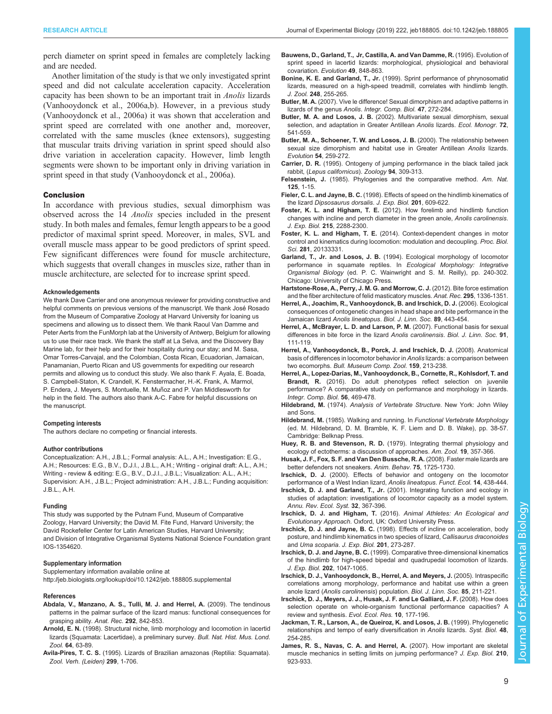<span id="page-8-0"></span>perch diameter on sprint speed in females are completely lacking and are needed.

Another limitation of the study is that we only investigated sprint speed and did not calculate acceleration capacity. Acceleration capacity has been shown to be an important trait in Anolis lizards [\(Vanhooydonck et al., 2006a,b](#page-9-0)). However, in a previous study [\(Vanhooydonck et al., 2006a](#page-9-0)) it was shown that acceleration and sprint speed are correlated with one another and, moreover, correlated with the same muscles (knee extensors), suggesting that muscular traits driving variation in sprint speed should also drive variation in acceleration capacity. However, limb length segments were shown to be important only in driving variation in sprint speed in that study ([Vanhooydonck et al., 2006a\)](#page-9-0).

### Conclusion

In accordance with previous studies, sexual dimorphism was observed across the 14 Anolis species included in the present study. In both males and females, femur length appears to be a good predictor of maximal sprint speed. Moreover, in males, SVL and overall muscle mass appear to be good predictors of sprint speed. Few significant differences were found for muscle architecture, which suggests that overall changes in muscles size, rather than in muscle architecture, are selected for to increase sprint speed.

## Acknowledgements

We thank Dave Carrier and one anonymous reviewer for providing constructive and helpful comments on previous versions of the manuscript. We thank José Rosado from the Museum of Comparative Zoology at Harvard University for loaning us specimens and allowing us to dissect them. We thank Raoul Van Damme and Peter Aerts from the FunMorph lab at the University of Antwerp, Belgium for allowing us to use their race track. We thank the staff at La Selva, and the Discovery Bay Marine lab, for their help and for their hospitality during our stay; and M. Sasa, Omar Torres-Carvajal, and the Colombian, Costa Rican, Ecuadorian, Jamaican, Panamanian, Puerto Rican and US governments for expediting our research permits and allowing us to conduct this study. We also thank F. Ayala, E. Boada, S. Campbell-Staton, K. Crandell, K. Fenstermacher, H.-K. Frank, A. Marmol, P. Endera, J. Meyers, S. Montuelle, M. Muñoz and P. Van Middlesworth for help in the field. The authors also thank A-C. Fabre for helpful discussions on the manuscript.

#### Competing interests

The authors declare no competing or financial interests.

#### Author contributions

Conceptualization: A.H., J.B.L.; Formal analysis: A.L., A.H.; Investigation: E.G., A.H.; Resources: E.G., B.V., D.J.I., J.B.L., A.H.; Writing - original draft: A.L., A.H.; Writing - review & editing: E.G., B.V., D.J.I., J.B.L.; Visualization: A.L., A.H.; Supervision: A.H., J.B.L.; Project administration: A.H., J.B.L.; Funding acquisition: J.B.L., A.H.

## Funding

This study was supported by the Putnam Fund, Museum of Comparative Zoology, Harvard University; the David M. Fite Fund, Harvard University; the David Rockefeller Center for Latin American Studies, Harvard University; and Division of Integrative Organismal Systems National Science Foundation grant IOS-1354620.

## Supplementary information

Supplementary information available online at <http://jeb.biologists.org/lookup/doi/10.1242/jeb.188805.supplemental>

#### References

- [Abdala, V., Manzano, A. S., Tulli, M. J. and Herrel, A.](https://doi.org/10.1002/ar.20909) (2009). The tendinous [patterns in the palmar surface of the lizard manus: functional consequences for](https://doi.org/10.1002/ar.20909) [grasping ability.](https://doi.org/10.1002/ar.20909) Anat. Rec. 292, 842-853.
- Arnold, E. N. (1998). Structural niche, limb morphology and locomotion in lacertid lizards (Squamata: Lacertidae), a preliminary survey. Bull. Nat. Hist. Mus. Lond. Zool. 64, 63-89.
- Avila-Pires, T. C. S. (1995). Lizards of Brazilian amazonas (Reptilia: Squamata). Zool. Verh. (Leiden) 299, 1-706.
- Bauwens, D., Garland, T., Jr, Castilla, A. and Van Damme, R. (1995). Evolution of sprint speed in lacertid lizards: morphological, physiological and behavioral covariation. Evolution 49, 848-863.
- Bonine, K. E. and Garland, T., Jr. [\(1999\). Sprint performance of phrynosomatid](https://doi.org/10.1111/j.1469-7998.1999.tb01201.x) [lizards, measured on a high-speed treadmill, correlates with hindlimb length.](https://doi.org/10.1111/j.1469-7998.1999.tb01201.x) J. Zool. 248[, 255-265.](https://doi.org/10.1111/j.1469-7998.1999.tb01201.x)
- Butler, M. A. [\(2007\). Vive le difference! Sexual dimorphism and adaptive patterns in](https://doi.org/10.1093/icb/icm061) [lizards of the genus](https://doi.org/10.1093/icb/icm061) Anolis. Integr. Comp. Biol. 47, 272-284.
- Butler, M. A. and Losos, J. B. [\(2002\). Multivariate sexual dimorphism, sexual](https://doi.org/10.1890/0012-9615(2002)072[0541:MSDSSA]2.0.CO;2) [selection, and adaptation in Greater Antillean](https://doi.org/10.1890/0012-9615(2002)072[0541:MSDSSA]2.0.CO;2) Anolis lizards. Ecol. Monogr. 72, [541-559.](https://doi.org/10.1890/0012-9615(2002)072[0541:MSDSSA]2.0.CO;2)
- [Butler, M. A., Schoener, T. W. and Losos, J. B.](https://doi.org/10.1554/0014-3820(2000)054[0259:TRBSSD]2.0.CO;2) (2000). The relationship between [sexual size dimorphism and habitat use in Greater Antillean](https://doi.org/10.1554/0014-3820(2000)054[0259:TRBSSD]2.0.CO;2) Anolis lizards. Evolution 54[, 259-272.](https://doi.org/10.1554/0014-3820(2000)054[0259:TRBSSD]2.0.CO;2)
- Carrier, D. R. (1995). Ontogeny of jumping performance in the black tailed jack rabbit, (Lepus californicus). Zoology 94, 309-313.
- Felsenstein, J. [\(1985\). Phylogenies and the comparative method.](https://doi.org/10.1086/284325) Am. Nat. 125[, 1-15.](https://doi.org/10.1086/284325)
- Fieler, C. L. and Jayne, B. C. (1998). Effects of speed on the hindlimb kinematics of the lizard Dipsosaurus dorsalis. J. Exp. Biol. 201, 609-622.
- Foster, K. L. and Higham, T. E. [\(2012\). How forelimb and hindlimb function](https://doi.org/10.1242/jeb.069856) [changes with incline and perch diameter in the green anole,](https://doi.org/10.1242/jeb.069856) Anolis carolinensis. J. Exp. Biol. 215[, 2288-2300.](https://doi.org/10.1242/jeb.069856)
- Foster, K. L. and Higham, T. E. [\(2014\). Context-dependent changes in motor](https://doi.org/10.1098/rspb.2013.3331) [control and kinematics during locomotion: modulation and decoupling.](https://doi.org/10.1098/rspb.2013.3331) Proc. Biol. Sci. 281[, 20133331.](https://doi.org/10.1098/rspb.2013.3331)
- Garland, T., Jr. and Losos, J. B. (1994). Ecological morphology of locomotor performance in squamate reptiles. In Ecological Morphology: Integrative Organismal Biology (ed. P. C. Wainwright and S. M. Reilly), pp. 240-302. Chicago: University of Chicago Press.
- [Hartstone-Rose, A., Perry, J. M. G. and Morrow, C. J.](https://doi.org/10.1002/ar.22518) (2012). Bite force estimation [and the fiber architecture of felid masticatory muscles.](https://doi.org/10.1002/ar.22518) Anat. Rec. 295, 1336-1351.
- [Herrel, A., Joachim, R., Vanhooydonck, B. and Irschick, D. J.](https://doi.org/10.1111/j.1095-8312.2006.00685.x) (2006). Ecological [consequences of ontogenetic changes in head shape and bite performance in the](https://doi.org/10.1111/j.1095-8312.2006.00685.x) Jamaican lizard Anolis lineatopus. [Biol. J. Linn. Soc.](https://doi.org/10.1111/j.1095-8312.2006.00685.x) 89, 443-454.
- [Herrel, A., McBrayer, L. D. and Larson, P. M.](https://doi.org/10.1111/j.1095-8312.2007.00772.x) (2007). Functional basis for sexual [differences in bite force in the lizard](https://doi.org/10.1111/j.1095-8312.2007.00772.x) Anolis carolinensis. Biol. J. Linn. Soc. 91, [111-119.](https://doi.org/10.1111/j.1095-8312.2007.00772.x)
- [Herrel, A., Vanhooydonck, B., Porck, J. and Irschick, D. J.](https://doi.org/10.3099/0027-4100-159.4.213) (2008). Anatomical [basis of differences in locomotor behavior in](https://doi.org/10.3099/0027-4100-159.4.213) Anolis lizards: a comparison between two ecomorphs. [Bull. Museum Comp. Zool.](https://doi.org/10.3099/0027-4100-159.4.213) 159, 213-238.
- [Herrel, A., Lopez-Darias, M., Vanhooydonck, B., Cornette, R., Kohlsdorf, T. and](https://doi.org/10.1093/icb/icw010) Brandt, R. [\(2016\). Do adult phenotypes reflect selection on juvenile](https://doi.org/10.1093/icb/icw010) [performance? A comparative study on performance and morphology in lizards.](https://doi.org/10.1093/icb/icw010) [Integr. Comp. Biol.](https://doi.org/10.1093/icb/icw010) 56, 469-478.
- Hildebrand, M. (1974). Analysis of Vertebrate Structure. New York: John Wiley and Sons.
- Hildebrand, M. (1985). Walking and running. In Functional Vertebrate Morphology (ed. M. Hildebrand, D. M. Bramble, K. F. Liem and D. B. Wake), pp. 38-57. Cambridge: Belknap Press.
- Huey, R. B. and Stevenson, R. D. [\(1979\). Integrating thermal physiology and](https://doi.org/10.1093/icb/19.1.357) [ecology of ectotherms: a discussion of approaches.](https://doi.org/10.1093/icb/19.1.357) Am. Zool. 19, 357-366.
- [Husak, J. F., Fox, S. F. and Van Den Bussche, R. A.](https://doi.org/10.1016/j.anbehav.2007.10.028) (2008). Faster male lizards are [better defenders not sneakers.](https://doi.org/10.1016/j.anbehav.2007.10.028) Anim. Behav. 75, 1725-1730.
- Irschick, D. J. [\(2000\). Effects of behavior and ontogeny on the locomotor](https://doi.org/10.1046/j.1365-2435.2000.00447.x) [performance of a West Indian lizard,](https://doi.org/10.1046/j.1365-2435.2000.00447.x) Anolis lineatopus. Funct. Ecol. 14, 438-444.
- Irschick, D. J. and Garland, T., Jr. [\(2001\). Integrating function and ecology in](https://doi.org/10.1146/annurev.ecolsys.32.081501.114048) [studies of adaptation: investigations of locomotor capacity as a model system.](https://doi.org/10.1146/annurev.ecolsys.32.081501.114048) [Annu. Rev. Ecol. Syst.](https://doi.org/10.1146/annurev.ecolsys.32.081501.114048) 32, 367-396.
- Irschick, D. J. and Higham, T. (2016). Animal Athletes: An Ecological and Evolutionary Approach. Oxford, UK: Oxford University Press.
- Irschick, D. J. and Jayne, B. C. (1998). Effects of incline on acceleration, body posture, and hindlimb kinematics in two species of lizard, Callisaurus draconoides and Uma scoparia. J. Exp. Biol. 201, 273-287.
- Irschick, D. J. and Jayne, B. C. (1999). Comparative three-dimensional kinematics of the hindlimb for high-speed bipedal and quadrupedal locomotion of lizards. J. Exp. Biol. 202, 1047-1065.
- [Irschick, D. J., Vanhooydonck, B., Herrel, A. and Meyers, J.](https://doi.org/10.1111/j.1095-8312.2005.00486.x) (2005). Intraspecific [correlations among morphology, performance and habitat use within a green](https://doi.org/10.1111/j.1095-8312.2005.00486.x) anole lizard ([Anolis carolinensis](https://doi.org/10.1111/j.1095-8312.2005.00486.x)) population. Biol. J. Linn. Soc. 85, 211-221.
- Irschick, D. J., Meyers, J. J., Husak, J. F. and Le Galliard, J. F. (2008). How does selection operate on whole-organism functional performance capacities? A review and synthesis. Evol. Ecol. Res. 10, 177-196.
- [Jackman, T. R., Larson, A., de Queiroz, K. and Losos, J. B.](https://doi.org/10.1080/106351599260283) (1999). Phylogenetic [relationships and tempo of early diversification in](https://doi.org/10.1080/106351599260283) Anolis lizards. Syst. Biol. 48, [254-285.](https://doi.org/10.1080/106351599260283)
- [James, R. S., Navas, C. A. and Herrel, A.](https://doi.org/10.1242/jeb.02731) (2007). How important are skeletal [muscle mechanics in setting limits on jumping performance?](https://doi.org/10.1242/jeb.02731) J. Exp. Biol. 210, [923-933.](https://doi.org/10.1242/jeb.02731)